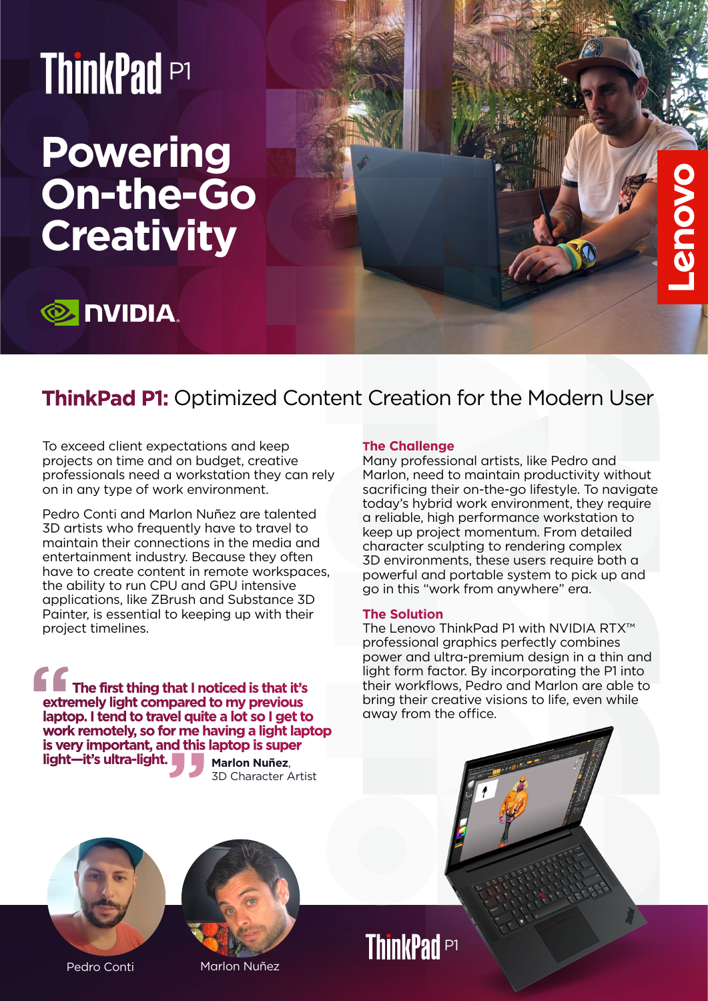# ThinkPad P1

## **Powering On-the-Go Creativity**

### **E** NVIDIA.

### **ThinkPad P1:** Optimized Content Creation for the Modern User

To exceed client expectations and keep projects on time and on budget, creative professionals need a workstation they can rely on in any type of work environment.

Pedro Conti and Marlon Nuñez are talented 3D artists who frequently have to travel to maintain their connections in the media and entertainment industry. Because they often have to create content in remote workspaces, the ability to run CPU and GPU intensive applications, like ZBrush and Substance 3D Painter, is essential to keeping up with their project timelines.

**Marlon Nuñez**,  **The first thing that I noticed is that it's extremely light compared to my previous laptop. I tend to travel quite a lot so I get to work remotely, so for me having a light laptop is very important, and this laptop is super light—it's ultra-light. Extre**<br>
extre<br>
lapto<br>
worl **"**

3D Character Artist

#### **The Challenge**

Many professional artists, like Pedro and Marlon, need to maintain productivity without sacrificing their on-the-go lifestyle. To navigate today's hybrid work environment, they require a reliable, high performance workstation to keep up project momentum. From detailed character sculpting to rendering complex 3D environments, these users require both a powerful and portable system to pick up and go in this "work from anywhere" era.

#### **The Solution**

The Lenovo ThinkPad P1 with NVIDIA RTX™ professional graphics perfectly combines power and ultra-premium design in a thin and light form factor. By incorporating the P1 into their workflows, Pedro and Marlon are able to bring their creative visions to life, even while away from the office.



Pedro Conti Marlon Nuñez



**ThinkPad P1**